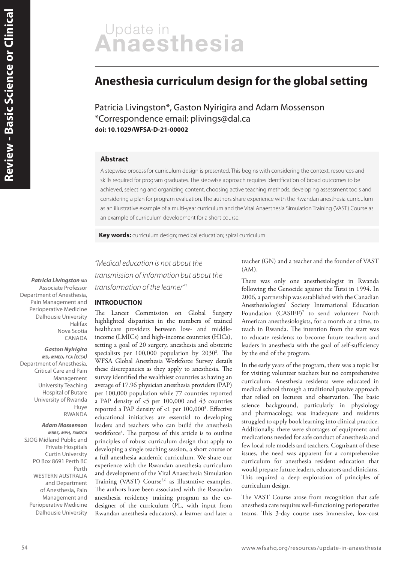# Update in<br>Anaesthesia

# **Anesthesia curriculum design for the global setting**

Patricia Livingston\*, Gaston Nyirigira and Adam Mossenson \*Correspondence email: plivings@dal.ca **doi: 10.1029/WFSA-D-21-00002**

# **Abstract**

A stepwise process for curriculum design is presented. This begins with considering the context, resources and skills required for program graduates. The stepwise approach requires identification of broad outcomes to be achieved, selecting and organizing content, choosing active teaching methods, developing assessment tools and considering a plan for program evaluation. The authors share experience with the Rwandan anesthesia curriculum as an illustrative example of a multi-year curriculum and the Vital Anaesthesia Simulation Training (VAST) Course as an example of curriculum development for a short course.

**Key words:** curriculum design; medical education; spiral curriculum

**Patricia Livingston MD** Associate Professor Department of Anesthesia, Pain Management and Perioperative Medicine Dalhousie University Halifax Nova Scotia CANADA

**Gaston Nyirigira MD, MMED, FCA (ECSA)** Department of Anesthesia, Critical Care and Pain Management University Teaching Hospital of Butare University of Rwanda Huye RWANDA

# **Adam Mossenson**

**MBBS, MPH, FANZCA** SJOG Midland Public and Private Hospitals Curtin University PO Box 8691 Perth BC Perth WESTERN AUSTRALIA and Department of Anesthesia, Pain Management and Perioperative Medicine Dalhousie University

"Medical education is not about the transmission of information but about the transformation of the learner"<sup>1</sup>

# **INTRODUCTION**

The Lancet Commission on Global Surgery highlighted disparities in the numbers of trained healthcare providers between low- and middleincome (LMICs) and high-income countries (HICs), setting a goal of 20 surgery, anesthesia and obstetric specialists per 100,000 population by 2030<sup>2</sup>. The WFSA Global Anesthesia Workforce Survey details these discrepancies as they apply to anesthesia. The survey identified the wealthiest countries as having an average of 17.96 physician anesthesia providers (PAP) per 100,000 population while 77 countries reported a PAP density of <5 per 100,000 and 43 countries reported a PAP density of <1 per 100,000<sup>3</sup> . Effective educational initiatives are essential to developing leaders and teachers who can build the anesthesia workforce<sup>4</sup>. The purpose of this article is to outline principles of robust curriculum design that apply to developing a single teaching session, a short course or a full anesthesia academic curriculum. We share our experience with the Rwandan anesthesia curriculum and development of the Vital Anaesthesia Simulation Training (VAST) Course<sup>5,6</sup> as illustrative examples. The authors have been associated with the Rwandan anesthesia residency training program as the codesigner of the curriculum (PL, with input from Rwandan anesthesia educators), a learner and later a teacher (GN) and a teacher and the founder of VAST  $(AM)$ .

There was only one anesthesiologist in Rwanda following the Genocide against the Tutsi in 1994. In 2006, a partnership was established with the Canadian Anesthesiologists' Society International Education Foundation (CASIEF)<sup>7</sup> to send volunteer North American anesthesiologists, for a month at a time, to teach in Rwanda. The intention from the start was to educate residents to become future teachers and leaders in anesthesia with the goal of self-sufficiency by the end of the program.

In the early years of the program, there was a topic list for visiting volunteer teachers but no comprehensive curriculum. Anesthesia residents were educated in medical school through a traditional passive approach that relied on lectures and observation. The basic science background, particularly in physiology and pharmacology, was inadequate and residents struggled to apply book learning into clinical practice. Additionally, there were shortages of equipment and medications needed for safe conduct of anesthesia and few local role models and teachers. Cognizant of these issues, the need was apparent for a comprehensive curriculum for anesthesia resident education that would prepare future leaders, educators and clinicians. This required a deep exploration of principles of curriculum design.

The VAST Course arose from recognition that safe anesthesia care requires well-functioning perioperative teams. This 3-day course uses immersive, low-cost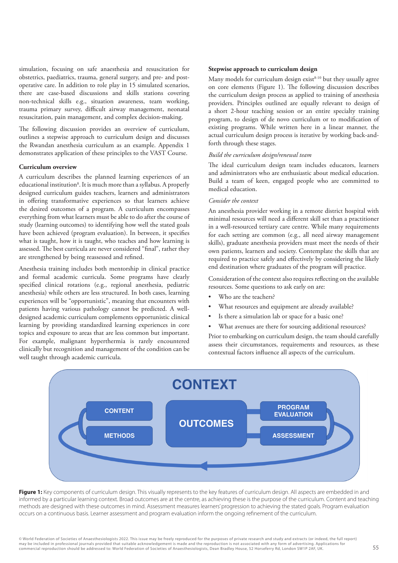simulation, focusing on safe anaesthesia and resuscitation for obstetrics, paediatrics, trauma, general surgery, and pre- and postoperative care. In addition to role play in 15 simulated scenarios, there are case-based discussions and skills stations covering non-technical skills e.g., situation awareness, team working, trauma primary survey, difficult airway management, neonatal resuscitation, pain management, and complex decision-making.

The following discussion provides an overview of curriculum, outlines a stepwise approach to curriculum design and discusses the Rwandan anesthesia curriculum as an example. Appendix 1 demonstrates application of these principles to the VAST Course.

#### **Curriculum overview**

A curriculum describes the planned learning experiences of an educational institution<sup>8</sup>. It is much more than a syllabus. A properly designed curriculum guides teachers, learners and administrators in offering transformative experiences so that learners achieve the desired outcomes of a program. A curriculum encompasses everything from what learners must be able to do after the course of study (learning outcomes) to identifying how well the stated goals have been achieved (program evaluation). In between, it specifies what is taught, how it is taught, who teaches and how learning is assessed. The best curricula are never considered "final", rather they are strengthened by being reassessed and refined.

Anesthesia training includes both mentorship in clinical practice and formal academic curricula. Some programs have clearly specified clinical rotations (e.g., regional anesthesia, pediatric anesthesia) while others are less structured. In both cases, learning experiences will be "opportunistic", meaning that encounters with patients having various pathology cannot be predicted. A welldesigned academic curriculum complements opportunistic clinical learning by providing standardized learning experiences in core topics and exposure to areas that are less common but important. For example, malignant hyperthermia is rarely encountered clinically but recognition and management of the condition can be well taught through academic curricula.

### **Stepwise approach to curriculum design**

Many models for curriculum design  $exist<sup>8-10</sup>$  but they usually agree on core elements (Figure 1). The following discussion describes the curriculum design process as applied to training of anesthesia providers. Principles outlined are equally relevant to design of a short 2-hour teaching session or an entire specialty training program, to design of de novo curriculum or to modification of existing programs. While written here in a linear manner, the actual curriculum design process is iterative by working back-andforth through these stages.

## *Build the curriculum design/renewal team*

The ideal curriculum design team includes educators, learners and administrators who are enthusiastic about medical education. Build a team of keen, engaged people who are committed to medical education.

# *Consider the context*

An anesthesia provider working in a remote district hospital with minimal resources will need a different skill set than a practitioner in a well-resourced tertiary care centre. While many requirements for each setting are common (e.g., all need airway management skills), graduate anesthesia providers must meet the needs of their own patients, learners and society. Contemplate the skills that are required to practice safely and effectively by considering the likely end destination where graduates of the program will practice.

Consideration of the context also requires reflecting on the available resources. Some questions to ask early on are:

- Who are the teachers?
- What resources and equipment are already available?
- Is there a simulation lab or space for a basic one?
- What avenues are there for sourcing additional resources?

Prior to embarking on curriculum design, the team should carefully assess their circumstances, requirements and resources, as these contextual factors influence all aspects of the curriculum.



Figure 1: Key components of curriculum design. This visually represents to the key features of curriculum design. All aspects are embedded in and informed by a particular learning context. Broad outcomes are at the centre, as achieving these is the purpose of the curriculum. Content and teaching methods are designed with these outcomes in mind. Assessment measures learners' progression to achieving the stated goals. Program evaluation occurs on a continuous basis. Learner assessment and program evaluation inform the ongoing refinement of the curriculum.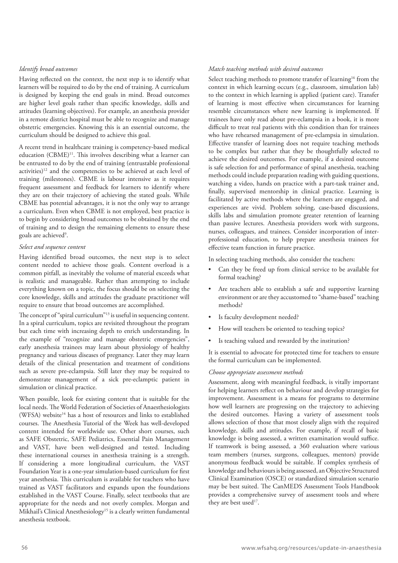# *Identify broad outcomes*

Having reflected on the context, the next step is to identify what learners will be required to do by the end of training. A curriculum is designed by keeping the end goals in mind. Broad outcomes are higher level goals rather than specific knowledge, skills and attitudes (learning objectives). For example, an anesthesia provider in a remote district hospital must be able to recognize and manage obstetric emergencies. Knowing this is an essential outcome, the curriculum should be designed to achieve this goal.

A recent trend in healthcare training is competency-based medical education (CBME)<sup>11</sup>. This involves describing what a learner can be entrusted to do by the end of training (entrustable professional activities)<sup>12</sup> and the competencies to be achieved at each level of training (milestones). CBME is labour intensive as it requires frequent assessment and feedback for learners to identify where they are on their trajectory of achieving the stated goals. While CBME has potential advantages, it is not the only way to arrange a curriculum. Even when CBME is not employed, best practice is to begin by considering broad outcomes to be obtained by the end of training and to design the remaining elements to ensure these goals are achieved<sup>9</sup>.

# *Select and sequence content*

Having identified broad outcomes, the next step is to select content needed to achieve those goals. Content overload is a common pitfall, as inevitably the volume of material exceeds what is realistic and manageable. Rather than attempting to include everything known on a topic, the focus should be on selecting the core knowledge, skills and attitudes the graduate practitioner will require to ensure that broad outcomes are accomplished.

The concept of "spiral curriculum"<sup>13</sup> is useful in sequencing content. In a spiral curriculum, topics are revisited throughout the program but each time with increasing depth to enrich understanding. In the example of "recognize and manage obstetric emergencies", early anesthesia trainees may learn about physiology of healthy pregnancy and various diseases of pregnancy. Later they may learn details of the clinical presentation and treatment of conditions such as severe pre-eclampsia. Still later they may be required to demonstrate management of a sick pre-eclamptic patient in simulation or clinical practice.

When possible, look for existing content that is suitable for the local needs. The World Federation of Societies of Anaesthesiologists (WFSA) website<sup>14</sup> has a host of resources and links to established courses. The Anesthesia Tutorial of the Week has well-developed content intended for worldwide use. Other short courses, such as SAFE Obstetric, SAFE Pediatrics, Essential Pain Management and VAST, have been well-designed and tested. Including these international courses in anesthesia training is a strength. If considering a more longitudinal curriculum, the VAST Foundation Year is a one-year simulation-based curriculum for first year anesthesia. This curriculum is available for teachers who have trained as VAST facilitators and expands upon the foundations established in the VAST Course. Finally, select textbooks that are appropriate for the needs and not overly complex. Morgan and Mikhail's Clinical Anesthesiology<sup>15</sup> is a clearly written fundamental anesthesia textbook.

# *Match teaching methods with desired outcomes*

Select teaching methods to promote transfer of learning<sup>16</sup> from the context in which learning occurs (e.g., classroom, simulation lab) to the context in which learning is applied (patient care). Transfer of learning is most effective when circumstances for learning resemble circumstances where new learning is implemented. If trainees have only read about pre-eclampsia in a book, it is more difficult to treat real patients with this condition than for trainees who have rehearsed management of pre-eclampsia in simulation. Effective transfer of learning does not require teaching methods to be complex but rather that they be thoughtfully selected to achieve the desired outcomes. For example, if a desired outcome is safe selection for and performance of spinal anesthesia, teaching methods could include preparation reading with guiding questions, watching a video, hands on practice with a part-task trainer and, finally, supervised mentorship in clinical practice. Learning is facilitated by active methods where the learners are engaged, and experiences are vivid. Problem solving, case-based discussions, skills labs and simulation promote greater retention of learning than passive lectures. Anesthesia providers work with surgeons, nurses, colleagues, and trainees. Consider incorporation of interprofessional education, to help prepare anesthesia trainees for effective team function in future practice.

In selecting teaching methods, also consider the teachers:

- Can they be freed up from clinical service to be available for formal teaching?
- Are teachers able to establish a safe and supportive learning environment or are they accustomed to "shame-based" teaching methods?
- Is faculty development needed?
- How will teachers be oriented to teaching topics?
- Is teaching valued and rewarded by the institution?

It is essential to advocate for protected time for teachers to ensure the formal curriculum can be implemented.

# *Choose appropriate assessment methods*

Assessment, along with meaningful feedback, is vitally important for helping learners reflect on behaviour and develop strategies for improvement. Assessment is a means for programs to determine how well learners are progressing on the trajectory to achieving the desired outcomes. Having a variety of assessment tools allows selection of those that most closely align with the required knowledge, skills and attitudes. For example, if recall of basic knowledge is being assessed, a written examination would suffice. If teamwork is being assessed, a 360 evaluation where various team members (nurses, surgeons, colleagues, mentors) provide anonymous feedback would be suitable. If complex synthesis of knowledge and behaviours is being assessed, an Objective Structured Clinical Examination (OSCE) or standardized simulation scenario may be best suited. The CanMEDS Assessment Tools Handbook provides a comprehensive survey of assessment tools and where they are best used<sup>17</sup>.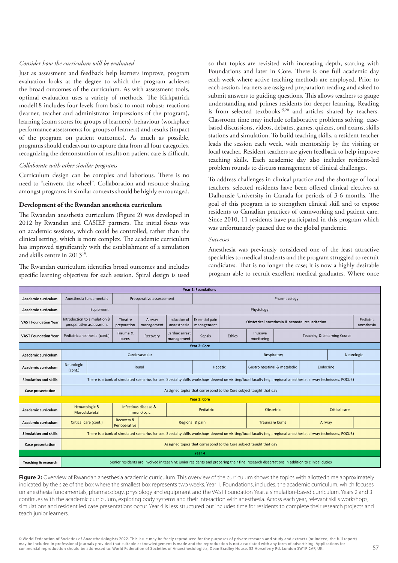# *Consider how the curriculum will be evaluated*

Just as assessment and feedback help learners improve, program evaluation looks at the degree to which the program achieves the broad outcomes of the curriculum. As with assessment tools, optimal evaluation uses a variety of methods. The Kirkpatrick model18 includes four levels from basic to most robust: reactions (learner, teacher and administrator impressions of the program), learning (exam scores for groups of learners), behaviour (workplace performance assessments for groups of learners) and results (impact of the program on patient outcomes). As much as possible, programs should endeavour to capture data from all four categories, recognizing the demonstration of results on patient care is difficult.

# *Collaborate with other similar programs*

Curriculum design can be complex and laborious. There is no need to "reinvent the wheel". Collaboration and resource sharing amongst programs in similar contexts should be highly encouraged.

## **Development of the Rwandan anesthesia curriculum**

The Rwandan anesthesia curriculum (Figure 2) was developed in 2012 by Rwandan and CASIEF partners. The initial focus was on academic sessions, which could be controlled, rather than the clinical setting, which is more complex. The academic curriculum has improved significantly with the establishment of a simulation and skills centre in 2013<sup>19</sup> .

The Rwandan curriculum identifies broad outcomes and includes specific learning objectives for each session. Spiral design is used so that topics are revisited with increasing depth, starting with Foundations and later in Core. There is one full academic day each week where active teaching methods are employed. Prior to each session, learners are assigned preparation reading and asked to submit answers to guiding questions. This allows teachers to gauge understanding and primes residents for deeper learning. Reading is from selected textbooks<sup>15,20</sup> and articles shared by teachers. Classroom time may include collaborative problems solving, casebased discussions, videos, debates, games, quizzes, oral exams, skills stations and simulation. To build teaching skills, a resident teacher leads the session each week, with mentorship by the visiting or local teacher. Resident teachers are given feedback to help improve teaching skills. Each academic day also includes resident-led problem rounds to discuss management of clinical challenges.

To address challenges in clinical practice and the shortage of local teachers, selected residents have been offered clinical electives at Dalhousie University in Canada for periods of 3-6 months. The goal of this program is to strengthen clinical skill and to expose residents to Canadian practices of teamworking and patient care. Since 2010, 11 residents have participated in this program which was unfortunately paused due to the global pandemic.

#### *Successes*

Anesthesia was previously considered one of the least attractive specialties to medical students and the program struggled to recruit candidates. That is no longer the case; it is now a highly desirable program able to recruit excellent medical graduates. Where once

| <b>Year 1: Foundations</b>     |                                                                                                                                                                   |                                                                                                                                            |                                     |                      |                              |                                     |                                                 |                                                       |           |           |                         |  |
|--------------------------------|-------------------------------------------------------------------------------------------------------------------------------------------------------------------|--------------------------------------------------------------------------------------------------------------------------------------------|-------------------------------------|----------------------|------------------------------|-------------------------------------|-------------------------------------------------|-------------------------------------------------------|-----------|-----------|-------------------------|--|
| Academic curriculum            | Anesthesia fundamentals                                                                                                                                           |                                                                                                                                            | Preoperative assessement            |                      |                              | Pharmacology                        |                                                 |                                                       |           |           |                         |  |
| Academic curriculum            |                                                                                                                                                                   | Equipment                                                                                                                                  |                                     | Physiology           |                              |                                     |                                                 |                                                       |           |           |                         |  |
| <b>VAST Foundation Year</b>    | Introduction to simulation &<br>preoperative assessment                                                                                                           |                                                                                                                                            | Theatre<br>preparation              | Airway<br>management | Induction of<br>anaesthesia  | <b>Essential pain</b><br>management | Obstetrical anesthesia & neonatal resuscitation |                                                       |           |           | Pediatric<br>anesthesia |  |
| <b>VAST Foundation Year</b>    | Pediatric anesthesia (cont.)                                                                                                                                      |                                                                                                                                            | Trauma &<br>burns                   | Recovery             | Cardiac arrest<br>management | Sepsis                              | Ethics                                          | Invasive<br>Teaching & Leearning Course<br>monitoring |           |           |                         |  |
| Year 2: Core                   |                                                                                                                                                                   |                                                                                                                                            |                                     |                      |                              |                                     |                                                 |                                                       |           |           |                         |  |
| Academic curriculum            |                                                                                                                                                                   |                                                                                                                                            | Cardiovascular                      |                      |                              |                                     |                                                 | Respiratory                                           |           |           | Neurologic              |  |
| Academic curriculum            | Neurologic<br>(cont.)                                                                                                                                             |                                                                                                                                            |                                     | Renal                |                              | Hepatic                             |                                                 | Gastrointestinal & metabolic                          |           | Endocrine |                         |  |
| <b>Simulation and skills</b>   | There is a bank of simulated scenarios for use. Specialty skills workshops depend on visiting/local faculty (e.g., regional anesthesia, airway techniques, POCUS) |                                                                                                                                            |                                     |                      |                              |                                     |                                                 |                                                       |           |           |                         |  |
| <b>Case presentation</b>       | Assigned topics that correspond to the Core subject taught that day                                                                                               |                                                                                                                                            |                                     |                      |                              |                                     |                                                 |                                                       |           |           |                         |  |
| <b>Year 3: Core</b>            |                                                                                                                                                                   |                                                                                                                                            |                                     |                      |                              |                                     |                                                 |                                                       |           |           |                         |  |
| Academic curriculum            | Hematologic &<br>Musculskeletal                                                                                                                                   |                                                                                                                                            | Infectious disease &<br>Immunologic |                      |                              | Pediatric                           |                                                 |                                                       | Obstetric |           | <b>Critical care</b>    |  |
| Academic curriculum            | Critical care (cont.)                                                                                                                                             |                                                                                                                                            | Recovery &<br>Perioperative         |                      |                              | Regional & pain                     |                                                 | Trauma & burns                                        |           | Airway    |                         |  |
| Simulation and skills          | There is a bank of simulated scenarios for use. Specialty skills workshops depend on visiting/local faculty (e.g., regional anesthesia, airway techniques, POCUS) |                                                                                                                                            |                                     |                      |                              |                                     |                                                 |                                                       |           |           |                         |  |
| Case presentation              | Assigned topics that correspond to the Core subject taught that day                                                                                               |                                                                                                                                            |                                     |                      |                              |                                     |                                                 |                                                       |           |           |                         |  |
| Year 4                         |                                                                                                                                                                   |                                                                                                                                            |                                     |                      |                              |                                     |                                                 |                                                       |           |           |                         |  |
| <b>Teaching &amp; research</b> |                                                                                                                                                                   | Senior residents are involved in teaching junior residents and preparing their final research dissertations in addition to clinical duties |                                     |                      |                              |                                     |                                                 |                                                       |           |           |                         |  |

**Figure 2:** Overview of Rwandan anesthesia academic curriculum. This overview of the curriculum shows the topics with allotted time approximately indicated by the size of the box where the smallest box represents two weeks. Year 1, Foundations, includes: the academic curriculum, which focuses on anesthesia fundamentals, pharmacology, physiology and equipment and the VAST Foundation Year, a simulation-based curriculum. Years 2 and 3 continues with the academic curriculum, exploring body systems and their interaction with anesthesia. Across each year, relevant skills workshops, simulations and resident led case presentations occur. Year 4 is less structured but includes time for residents to complete their research projects and teach junior learners.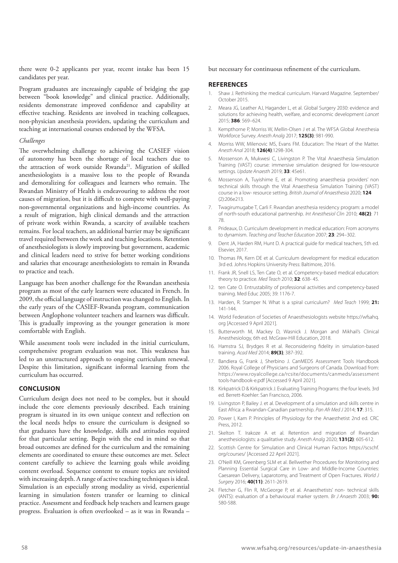there were 0-2 applicants per year, recent intake has been 15 candidates per year.

Program graduates are increasingly capable of bridging the gap between "book knowledge" and clinical practice. Additionally, residents demonstrate improved confidence and capability at effective teaching. Residents are involved in teaching colleagues, non-physician anesthesia providers, updating the curriculum and teaching at international courses endorsed by the WFSA.

#### *Challenges*

The overwhelming challenge to achieving the CASIEF vision of autonomy has been the shortage of local teachers due to the attraction of work outside Rwanda<sup>21</sup>. Migration of skilled anesthesiologists is a massive loss to the people of Rwanda and demoralizing for colleagues and learners who remain. The Rwandan Ministry of Health is endeavouring to address the root causes of migration, but it is difficult to compete with well-paying non-governmental organizations and high-income countries. As a result of migration, high clinical demands and the attraction of private work within Rwanda, a scarcity of available teachers remains. For local teachers, an additional barrier may be significant travel required between the work and teaching locations. Retention of anesthesiologists is slowly improving but government, academic and clinical leaders need to strive for better working conditions and salaries that encourage anesthesiologists to remain in Rwanda to practice and teach.

Language has been another challenge for the Rwandan anesthesia program as most of the early learners were educated in French. In 2009, the official language of instruction was changed to English. In the early years of the CASIEF-Rwanda program, communication between Anglophone volunteer teachers and learners was difficult. This is gradually improving as the younger generation is more comfortable with English.

While assessment tools were included in the initial curriculum, comprehensive program evaluation was not. This weakness has led to an unstructured approach to ongoing curriculum renewal. Despite this limitation, significant informal learning from the curriculum has occurred.

# **CONCLUSION**

Curriculum design does not need to be complex, but it should include the core elements previously described. Each training program is situated in its own unique context and reflection on the local needs helps to ensure the curriculum is designed so that graduates have the knowledge, skills and attitudes required for that particular setting. Begin with the end in mind so that broad outcomes are defined for the curriculum and the remaining elements are coordinated to ensure these outcomes are met. Select content carefully to achieve the learning goals while avoiding content overload. Sequence content to ensure topics are revisited with increasing depth. A range of active teaching techniques is ideal. Simulation is an especially strong modality as vivid, experiential learning in simulation fosters transfer or learning to clinical practice. Assessment and feedback help teachers and learners gauge progress. Evaluation is often overlooked – as it was in Rwanda –

#### but necessary for continuous refinement of the curriculum.

# **REFERENCES**

- 1. Shaw J. Rethinking the medical curriculum. Harvard Magazine. September/ October 2015.
- 2. Meara JG, Leather AJ, Hagander L, et al. Global Surgery 2030: evidence and solutions for achieving health, welfare, and economic development Lancet 2015; **386**: 569–624.
- 3. Kempthorne P, Morriss W, Mellin-Olsen J et al. The WFSA Global Anesthesia Workforce Survey. Anesth Analg 2017; **125(3)**: 981-990.
- 4. Morriss WW, Milenovic MS, Evans FM. Education: The Heart of the Matter. Anesth Anal 2018; **126(4)**:1298-304.
- 5. Mossenson A, Mukwesi C, Livingston P. The Vital Anaesthesia Simulation Training (VAST) course: immersive simulation designed for low-resource settings. Update Anaesth 2019; **33**: 45e61.
- 6. Mossenson A, Tuyishime E, et al. Promoting anaesthesia providers' non technical skills through the Vital Anaesthesia Simulation Training (VAST) course in a low- resource setting. British Journal of Anaesthesia 2020; **124** (2):206e213.
- 7. Twagirumugabe T, Carli F. Rwandan anesthesia residency program: a model of north-south educational partnership. Int Anesthesiol Clin 2010; **48(2)**: 71 78.
- 8. Prideaux, D. Curriculum development in medical education: From acronyms to dynamism. Teaching and Teacher Education 2007; **23**: 294–302.
- 9. Dent JA, Harden RM, Hunt D. A practical guide for medical teachers, 5th ed. Elsevier, 2017.
- 10. Thomas PA, Kern DE et al. Curriculum development for medical education 3rd ed. Johns Hopkins University Press: Baltimore, 2016.
- 11. Frank JR, Snell LS, Ten Cate O, et al. Competency-based medical education: theory to practice. Med Teach 2010; **32**: 638- 45.
- 12. ten Cate O. Entrustability of professional activities and competency-based training. Med Educ 2005; 39: 1176-7.
- 13. Harden, R. Stamper N. What is a spiral curriculum? Med Teach 1999; **21:**  141-144.
- 14. World Federation of Societies of Anaesthesiologists website https://wfsahq. org [Accessed 9 April 2021].
- 15. Butterworth M, Mackey D, Wasnick J. Morgan and Mikhail's Clinical Anesthesiology, 6th ed. McGraw-Hill Education, 2018.
- 16. Hamstra SJ, Brydges R et al. Reconsidering fidelity in simulation-based training. Acad Med 2014; **89(3)**; 387-392.
- 17. Bandiera G, Frank J, Sherbino J. CanMEDS Assessment Tools Handbook 2006. Royal College of Physicians and Surgeons of Canada. Download from: https://www.royalcollege.ca/rcsite/documents/canmeds/assessment tools-handbook-e.pdf [Accessed 9 April 2021].
- 18. Kirkpatrick D & Kirkpatrick J. Evaluating Training Programs: the four levels. 3rd ed. Berrett-Koehler: San Francisco, 2006.
- 19. Livingston P, Bailey J. et al. Development of a simulation and skills centre in East Africa: a Rwandan-Canadian partnership. Pan Afr Med J 2014; **17**: 315.
- 20. Power I, Kam P. Principles of Physiology for the Anaesthetist 2nd ed. CRC Press, 2012.
- 21. Skelton T. Irakoze A et al. Retention and migration of Rwandan anesthesiologists: a qualitative study. Anesth Analg 2020; **131(2)**: 605-612.
- 22. Scottish Centre for Simulation and Clinical Human Factors https://scschf. org/courses/ [Accessed 22 April 2021].
- 23. O'Neill KM, Greenberg SLM et al. Bellwether Procedures for Monitoring and Planning Essential Surgical Care in Low- and Middle-Income Countries: Caesarean Delivery, Laparotomy, and Treatment of Open Fractures. World J Surgery 2016; **40(11)**: 2611-2619.
- 24. Fletcher G, Flin R, McGeorge P, et al. Anaesthetists' non- technical skills (ANTS): evaluation of a behavioural marker system. Br J Anaesth 2003; **90:**  580-588.